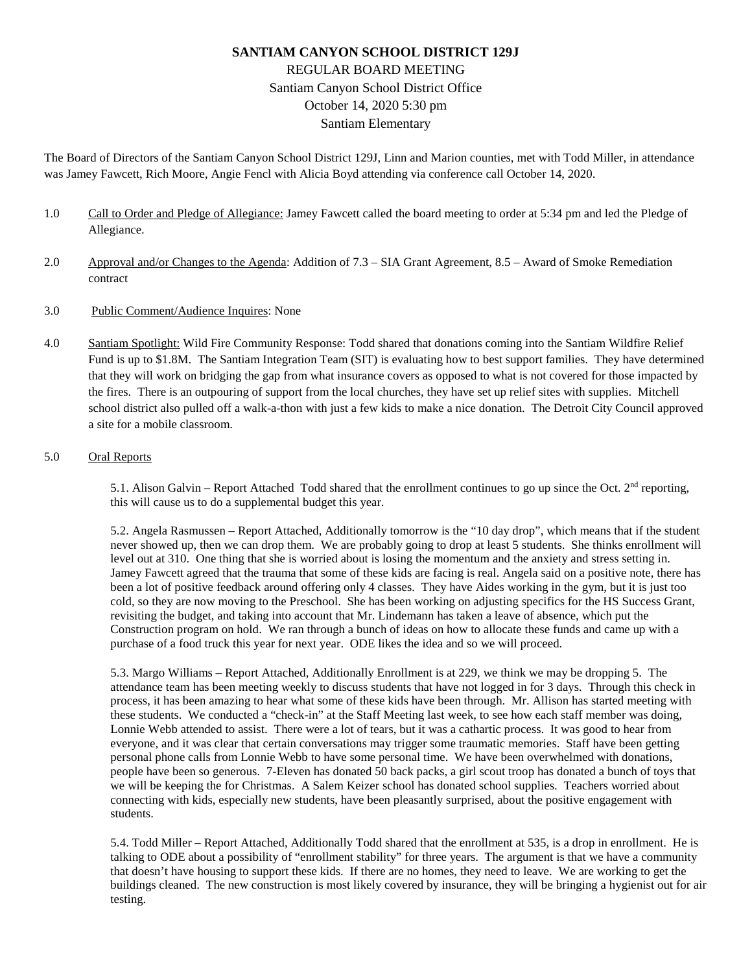# **SANTIAM CANYON SCHOOL DISTRICT 129J** REGULAR BOARD MEETING Santiam Canyon School District Office October 14, 2020 5:30 pm Santiam Elementary

The Board of Directors of the Santiam Canyon School District 129J, Linn and Marion counties, met with Todd Miller, in attendance was Jamey Fawcett, Rich Moore, Angie Fencl with Alicia Boyd attending via conference call October 14, 2020.

- 1.0 Call to Order and Pledge of Allegiance: Jamey Fawcett called the board meeting to order at 5:34 pm and led the Pledge of Allegiance.
- 2.0 Approval and/or Changes to the Agenda: Addition of 7.3 SIA Grant Agreement, 8.5 Award of Smoke Remediation contract
- 3.0 Public Comment/Audience Inquires: None
- 4.0 Santiam Spotlight: Wild Fire Community Response: Todd shared that donations coming into the Santiam Wildfire Relief Fund is up to \$1.8M. The Santiam Integration Team (SIT) is evaluating how to best support families. They have determined that they will work on bridging the gap from what insurance covers as opposed to what is not covered for those impacted by the fires. There is an outpouring of support from the local churches, they have set up relief sites with supplies. Mitchell school district also pulled off a walk-a-thon with just a few kids to make a nice donation. The Detroit City Council approved a site for a mobile classroom.

## 5.0 Oral Reports

5.1. Alison Galvin – Report Attached Todd shared that the enrollment continues to go up since the Oct.  $2<sup>nd</sup>$  reporting, this will cause us to do a supplemental budget this year.

5.2. Angela Rasmussen – Report Attached, Additionally tomorrow is the "10 day drop", which means that if the student never showed up, then we can drop them. We are probably going to drop at least 5 students. She thinks enrollment will level out at 310. One thing that she is worried about is losing the momentum and the anxiety and stress setting in. Jamey Fawcett agreed that the trauma that some of these kids are facing is real. Angela said on a positive note, there has been a lot of positive feedback around offering only 4 classes. They have Aides working in the gym, but it is just too cold, so they are now moving to the Preschool. She has been working on adjusting specifics for the HS Success Grant, revisiting the budget, and taking into account that Mr. Lindemann has taken a leave of absence, which put the Construction program on hold. We ran through a bunch of ideas on how to allocate these funds and came up with a purchase of a food truck this year for next year. ODE likes the idea and so we will proceed.

5.3. Margo Williams – Report Attached, Additionally Enrollment is at 229, we think we may be dropping 5. The attendance team has been meeting weekly to discuss students that have not logged in for 3 days. Through this check in process, it has been amazing to hear what some of these kids have been through. Mr. Allison has started meeting with these students. We conducted a "check-in" at the Staff Meeting last week, to see how each staff member was doing, Lonnie Webb attended to assist. There were a lot of tears, but it was a cathartic process. It was good to hear from everyone, and it was clear that certain conversations may trigger some traumatic memories. Staff have been getting personal phone calls from Lonnie Webb to have some personal time. We have been overwhelmed with donations, people have been so generous. 7-Eleven has donated 50 back packs, a girl scout troop has donated a bunch of toys that we will be keeping the for Christmas. A Salem Keizer school has donated school supplies. Teachers worried about connecting with kids, especially new students, have been pleasantly surprised, about the positive engagement with students.

5.4. Todd Miller – Report Attached, Additionally Todd shared that the enrollment at 535, is a drop in enrollment. He is talking to ODE about a possibility of "enrollment stability" for three years. The argument is that we have a community that doesn't have housing to support these kids. If there are no homes, they need to leave. We are working to get the buildings cleaned. The new construction is most likely covered by insurance, they will be bringing a hygienist out for air testing.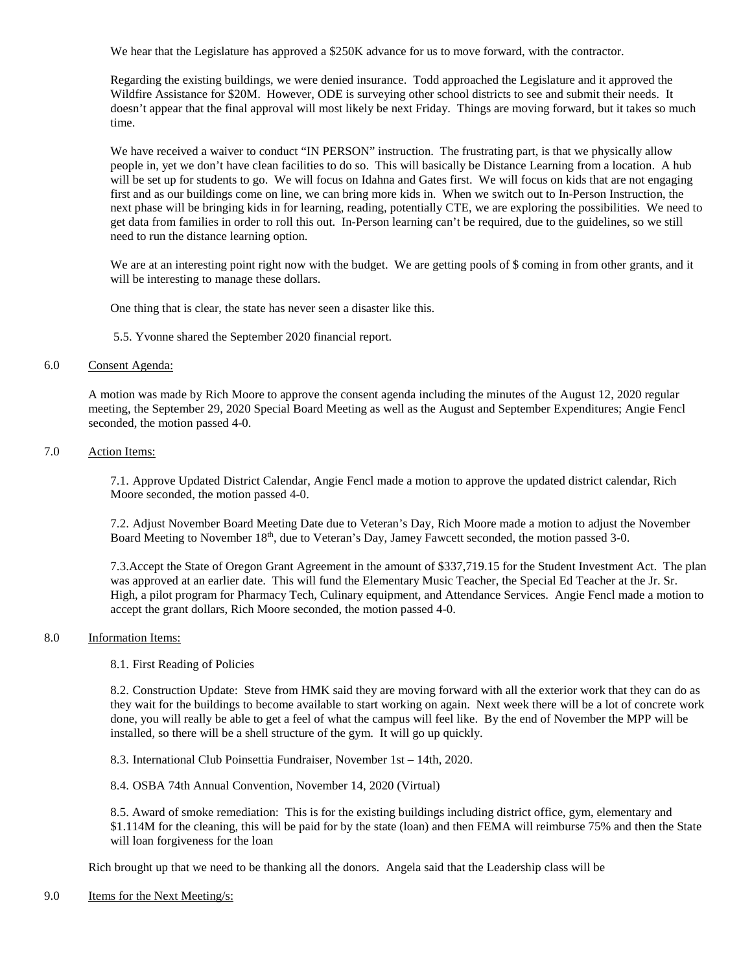We hear that the Legislature has approved a \$250K advance for us to move forward, with the contractor.

Regarding the existing buildings, we were denied insurance. Todd approached the Legislature and it approved the Wildfire Assistance for \$20M. However, ODE is surveying other school districts to see and submit their needs. It doesn't appear that the final approval will most likely be next Friday. Things are moving forward, but it takes so much time.

We have received a waiver to conduct "IN PERSON" instruction. The frustrating part, is that we physically allow people in, yet we don't have clean facilities to do so. This will basically be Distance Learning from a location. A hub will be set up for students to go. We will focus on Idahna and Gates first. We will focus on kids that are not engaging first and as our buildings come on line, we can bring more kids in. When we switch out to In-Person Instruction, the next phase will be bringing kids in for learning, reading, potentially CTE, we are exploring the possibilities. We need to get data from families in order to roll this out. In-Person learning can't be required, due to the guidelines, so we still need to run the distance learning option.

We are at an interesting point right now with the budget. We are getting pools of \$ coming in from other grants, and it will be interesting to manage these dollars.

One thing that is clear, the state has never seen a disaster like this.

5.5. Yvonne shared the September 2020 financial report.

## 6.0 Consent Agenda:

A motion was made by Rich Moore to approve the consent agenda including the minutes of the August 12, 2020 regular meeting, the September 29, 2020 Special Board Meeting as well as the August and September Expenditures; Angie Fencl seconded, the motion passed 4-0.

## 7.0 Action Items:

7.1. Approve Updated District Calendar, Angie Fencl made a motion to approve the updated district calendar, Rich Moore seconded, the motion passed 4-0.

7.2. Adjust November Board Meeting Date due to Veteran's Day, Rich Moore made a motion to adjust the November Board Meeting to November 18<sup>th</sup>, due to Veteran's Day, Jamey Fawcett seconded, the motion passed 3-0.

7.3.Accept the State of Oregon Grant Agreement in the amount of \$337,719.15 for the Student Investment Act. The plan was approved at an earlier date. This will fund the Elementary Music Teacher, the Special Ed Teacher at the Jr. Sr. High, a pilot program for Pharmacy Tech, Culinary equipment, and Attendance Services. Angie Fencl made a motion to accept the grant dollars, Rich Moore seconded, the motion passed 4-0.

## 8.0 Information Items:

8.1. First Reading of Policies

8.2. Construction Update: Steve from HMK said they are moving forward with all the exterior work that they can do as they wait for the buildings to become available to start working on again. Next week there will be a lot of concrete work done, you will really be able to get a feel of what the campus will feel like. By the end of November the MPP will be installed, so there will be a shell structure of the gym. It will go up quickly.

8.3. International Club Poinsettia Fundraiser, November 1st – 14th, 2020.

8.4. OSBA 74th Annual Convention, November 14, 2020 (Virtual)

8.5. Award of smoke remediation: This is for the existing buildings including district office, gym, elementary and \$1.114M for the cleaning, this will be paid for by the state (loan) and then FEMA will reimburse 75% and then the State will loan forgiveness for the loan

Rich brought up that we need to be thanking all the donors. Angela said that the Leadership class will be

## 9.0 Items for the Next Meeting/s: